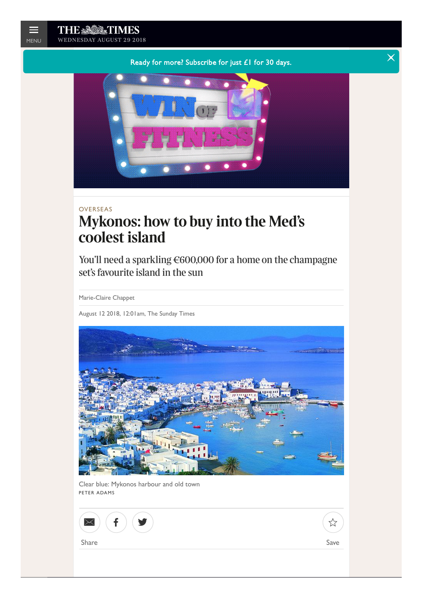[Ready for more? Subscribe for just £1 for 30 days.](https://www.googleadservices.com/pagead/aclk?sa=L&ai=CFsPLOJyGW5KMHJrZ3gPCyazQDbCu0ZVTma7ljrMHrAIQASDo5LYTYK3y2AOgAcqztsMDyAEDqQI-80KUrZWzPuACAKgDAcgDCKoEkAJP0E2GXxykBbDwhrUiGsjHHVHkCm-IJXQAm_QJ6Ak8Wlwwc8s4_DNiiW4nuJOKMlXBMclWbKhh_4APgu64DXLqTUm3w1t5DqdIhbfnVR0womfd4SJSev0hv9rfrZQFQk4LkSE6tiddYBSn5ydxC_M3u4mn-_8z38ntd3Kakjp3jretFtF1vUSpD4XETuyhA_sskTlhFZ-PFSz3zuBDmRvvVZX8olviUSXFytQEuYDLT0nx6ZwAXEqOrIjedgrdanLxjQutaBG_P70v_tzEtaP3Sbcugz3wkZPu8De17GXOn3EAmslLFqDC64NpE1Uhos40Tfb_9baEszUQDAkAmhA2f-p8QjZVSmjc6N37L9Lr0OAEAaAGA4AHnszJPKgHjs4bqAfVyRuoB7oGqAfZyxuoB8_MG6gHpr4bqAeYzhuoB5oG2AcB0ggJCIDhgBAQARgBsQmhvQ3AcGRX8IAKA9gTAg&num=1&cid=CAASEuRodpchL3bGlVTekGYW7hOVKQ&sig=AOD64_27PcIPE04AO2DZIEJVW0Mw89Vhvg&client=ca-pub-9922974912311690&nx=CLICK_X&ny=CLICK_Y&nb=2&adurl=https://planetfitness.gr/win/)  $\blacksquare$ 



# OVERSEAS **Mykonos: how to buy into the Med's coolest island**

You'll need a sparkling €600,000 for a home on the champagne set's favourite island in the sun

Marie-Claire Chappet

August 12 2018, 12:01am, The Sunday Times



Clear blue: Mykonos harbour and old town PETER ADAMS

| $\overline{a}$<br>$\sqrt{2}$<br>∼ |      |
|-----------------------------------|------|
| Share                             | Save |
|                                   |      |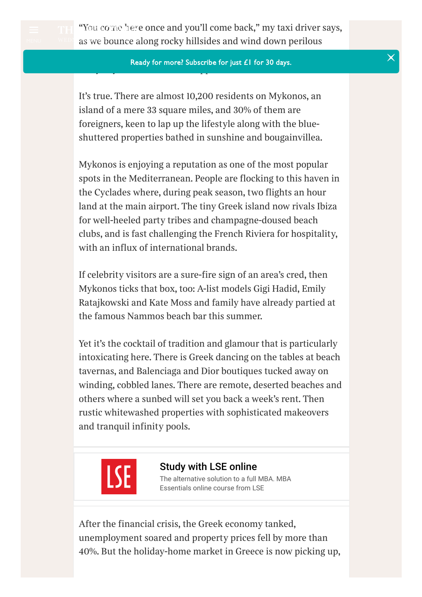

*"You [come](https://www.thetimes.co.uk/) here once and you'll come back," my taxi driver says, a**wee* **as we bounce along rocky hillsides and wind down perilous** 

### *inclines, at each turn a flash of deep blue water in the distance.* [Ready for more? Subscribe for just £1 for 30 days.](https://globalstore.thetimes.co.uk/?ILC=INT-TNL_The_Times-Active_-Access_Global_171114) *"Maybe you never leave. It happens all the time."*

*It's true. There are almost 10,200 residents on Mykonos, an island of a mere 33 square miles, and 30% of them are foreigners, keen to lap up the lifestyle along with the blueshuttered properties bathed in sunshine and bougainvillea.*

*Mykonos is enjoying a reputation as one of the most popular spots in the Mediterranean. People are flocking to this haven in the Cyclades where, during peak season, two flights an hour land at the main airport. The tiny Greek island now rivals Ibiza for well-heeled party tribes and champagne-doused beach clubs, and is fast challenging the French Riviera for hospitality, with an influx of international brands.*

*If celebrity visitors are a sure-fire sign of an area's cred, then Mykonos ticks that box, too: A-list models Gigi Hadid, Emily Ratajkowski and Kate Moss and family have already partied at the famous Nammos beach bar this summer.*

*Yet it's the cocktail of tradition and glamour that is particularly intoxicating here. There is Greek dancing on the tables at beach tavernas, and Balenciaga and Dior boutiques tucked away on winding, cobbled lanes. There are remote, deserted beaches and others where a sunbed will set you back a week's rent. Then rustic whitewashed properties with sophisticated makeovers and tranquil infinity pools.*



[Study with LSE online](https://www.googleadservices.com/pagead/aclk?sa=L&ai=CH_vqOJyGW4ORHMSCgQfZp4ywB6iW_5FT-JWSkYEH29keEAEg6OS2E2Ct8tgDoAH9yYDNA8gBAeACAKgDAcgDCqoEkAJP0OuqWIX7XFByk0SGTHVHU6rabXBYv_1UgoeDG6hJSsgA4S4UzYUuIruXbnDgSvJi6WoD1e0_bn08UlxIzceaUEDRRq5uWpPwbJ1dbrvqU5r6BVer4gu2j9WqgPUlBsoYlM--VNQcdYbuL5Bx02F1qNE-i6Demg09mzgLPriL5-9UVPaueDDJz0EB69N7-Ja7LQkiVHOj7ngeO520wmOYs1tJ9tqirm5vyMz_dOX-9Yxo_KkbEbNsOJS0etap5tjvvnmAmGVV8orKVSR-FYJTGwWxTHdOZb7rTjBy03v8yyqUbon-ccYBlyAYiRVyOzb3O769FJlMcH_1yDBq3uY5AwrbfAAWWjG1t9ZGKzDuDOAEAYAHh8ijd6gHjs4bqAfVyRuoB7oGqAfZyxuoB8_MG6gHpr4bqAeYzhuoB5oG2AcB0ggJCIDhgBAQARgBsQlemkpuHCSAH4AKA9gTAg&num=1&cid=CAASEuRoTJi9iBrcd3WYbSi-q77VgQ&sig=AOD64_3K_W71A35Dd5QW_pzALat9vzsIGA&client=ca-pub-9922974912311690&nx=CLICK_X&ny=CLICK_Y&nb=0&adurl=https://onlinelearning.lse.ac.uk/lse-mba-essentials-online-certificate-course-hm/%3Futm_source%3DPPC%26utm_medium%3Dadwords_ppc%26utm_campaign%3DLSE_PRE_hm_sing_sim_lsepremba%26AdID%3D248246267214%26CID%3D1020056133%26AgID%3D45713160410%26KW%3Dmasters%2520in%2520business%2520management%26%26ef_id%3Dc:248246267214_d:c_n:d_ti:kwd-39231700_p:www.thetimes.co.uk_k:masters%2520in%2520business%2520management_m:_a:45713160410) [The alternative solution to a full MBA. MBA](https://www.googleadservices.com/pagead/aclk?sa=L&ai=CH_vqOJyGW4ORHMSCgQfZp4ywB6iW_5FT-JWSkYEH29keEAEg6OS2E2Ct8tgDoAH9yYDNA8gBAeACAKgDAcgDCqoEkAJP0OuqWIX7XFByk0SGTHVHU6rabXBYv_1UgoeDG6hJSsgA4S4UzYUuIruXbnDgSvJi6WoD1e0_bn08UlxIzceaUEDRRq5uWpPwbJ1dbrvqU5r6BVer4gu2j9WqgPUlBsoYlM--VNQcdYbuL5Bx02F1qNE-i6Demg09mzgLPriL5-9UVPaueDDJz0EB69N7-Ja7LQkiVHOj7ngeO520wmOYs1tJ9tqirm5vyMz_dOX-9Yxo_KkbEbNsOJS0etap5tjvvnmAmGVV8orKVSR-FYJTGwWxTHdOZb7rTjBy03v8yyqUbon-ccYBlyAYiRVyOzb3O769FJlMcH_1yDBq3uY5AwrbfAAWWjG1t9ZGKzDuDOAEAYAHh8ijd6gHjs4bqAfVyRuoB7oGqAfZyxuoB8_MG6gHpr4bqAeYzhuoB5oG2AcB0ggJCIDhgBAQARgBsQlemkpuHCSAH4AKA9gTAg&num=1&cid=CAASEuRoTJi9iBrcd3WYbSi-q77VgQ&sig=AOD64_3K_W71A35Dd5QW_pzALat9vzsIGA&client=ca-pub-9922974912311690&nx=CLICK_X&ny=CLICK_Y&nb=7&adurl=https://onlinelearning.lse.ac.uk/lse-mba-essentials-online-certificate-course-hm/%3Futm_source%3DPPC%26utm_medium%3Dadwords_ppc%26utm_campaign%3DLSE_PRE_hm_sing_sim_lsepremba%26AdID%3D248246267214%26CID%3D1020056133%26AgID%3D45713160410%26KW%3Dmasters%2520in%2520business%2520management%26%26ef_id%3Dc:248246267214_d:c_n:d_ti:kwd-39231700_p:www.thetimes.co.uk_k:masters%2520in%2520business%2520management_m:_a:45713160410)  Essentials online course from LSE

*After the financial crisis, the Greek economy tanked, unemployment soared and property prices fell by more than 40%. But the holiday-home market in Greece is now picking up,*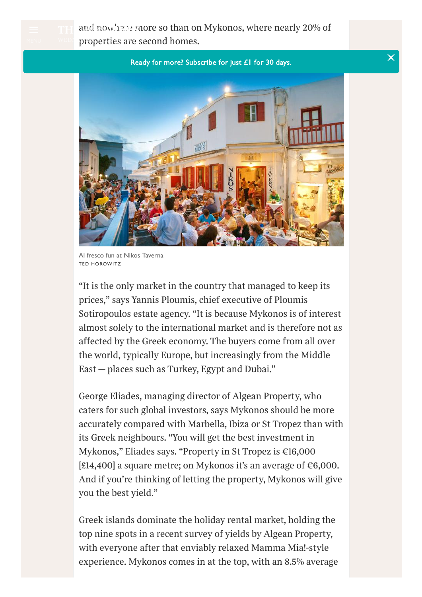*and [nowhere](https://www.thetimes.co.uk/) more so than on Mykonos, where nearly 20% of properties* are second homes.

[Ready for more? Subscribe for just £1 for 30 days.](https://globalstore.thetimes.co.uk/?ILC=INT-TNL_The_Times-Active_-Access_Global_171114)



Al fresco fun at Nikos Taverna TED HOROWITZ

*"It is the only market in the country that managed to keep its prices," says Yannis Ploumis, chief executive of Ploumis Sotiropoulos estate agency. "It is because Mykonos is of interest almost solely to the international market and is therefore not as aected by the Greek economy. The buyers come from all over the world, typically Europe, but increasingly from the Middle East — places such as Turkey, Egypt and Dubai."*

*George Eliades, managing director of Algean Property, who caters for such global investors, says Mykonos should be more accurately compared with Marbella, Ibiza or St Tropez than with its Greek neighbours. "You will get the best investment in Mykonos," Eliades says. "Property in St Tropez is €16,000 [£14,400] a square metre; on Mykonos it's an average of €6,000. And if you're thinking of letting the property, Mykonos will give you the best yield."*

*Greek islands dominate the holiday rental market, holding the top nine spots in a recent survey of yields by Algean Property, with everyone after that enviably relaxed Mamma Mia!-style experience. Mykonos comes in at the top, with an 8.5% average*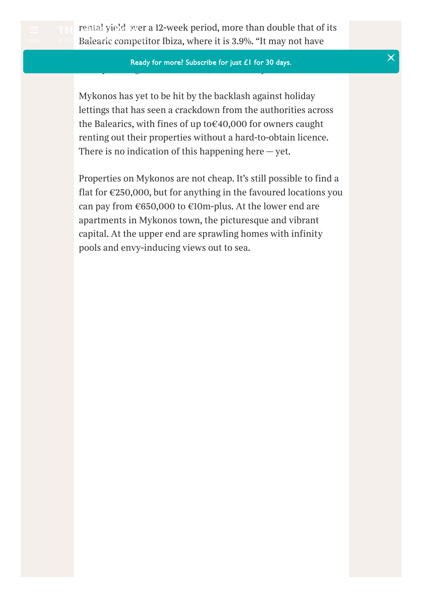

*[rental](https://www.thetimes.co.uk/) yield over a 12-week period, more than double that of its Balearic competitor Ibiza, where it is 3.9%. "It may not have* 

### *been the primary objective for purchasing, but so many buyers* [Ready for more? Subscribe for just £1 for 30 days.](https://globalstore.thetimes.co.uk/?ILC=INT-TNL_The_Times-Active_-Access_Global_171114) *end up renting out their houses," Ploumis says.*

*Mykonos has yet to be hit by the backlash against holiday lettings that has seen a crackdown from the authorities across the Balearics, with fines of up to€40,000 for owners caught renting out their properties without a hard-to-obtain licence. There is no indication of this happening here — yet.*

*Properties on Mykonos are not cheap. It's still possible to find a flat for €250,000, but for anything in the favoured locations you can pay from €650,000 to €10m-plus. At the lower end are apartments in Mykonos town, the picturesque and vibrant capital. At the upper end are sprawling homes with infinity pools and envy-inducing views out to sea.*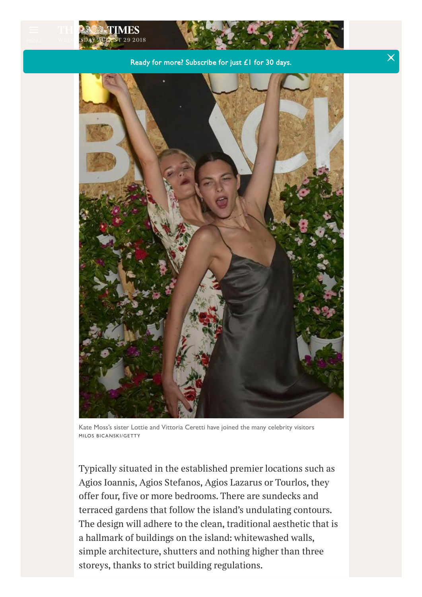

Kate Moss's sister Lottie and Vittoria Ceretti have joined the many celebrity visitors MILOS BICANSKI/GETTY

*Typically situated in the established premier locations such as Agios Ioannis, Agios Stefanos, Agios Lazarus or Tourlos, they oer four, five or more bedrooms. There are sundecks and terraced gardens that follow the island's undulating contours. The design will adhere to the clean, traditional aesthetic that is a hallmark of buildings on the island: whitewashed walls, simple architecture, shutters and nothing higher than three storeys, thanks to strict building regulations.*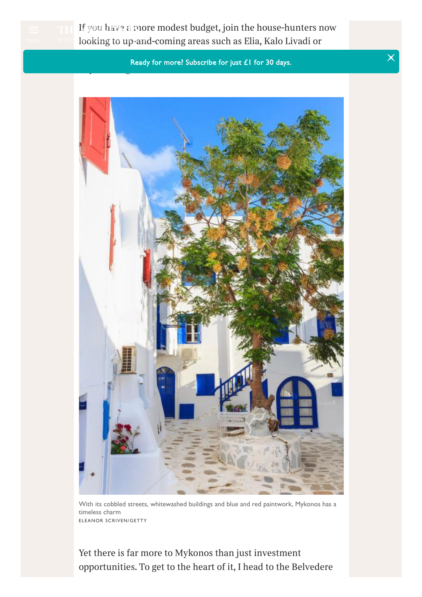

*If you [have](https://www.thetimes.co.uk/) a more modest budget, join the house-hunters now looking to up-and-coming areas such as Elia, Kalo Livadi or* MENU *wednesday august 29 2018*

> *Kalafatis, where the prices are still low, but the potential for* [Ready for more? Subscribe for just £1 for 30 days.](https://globalstore.thetimes.co.uk/?ILC=INT-TNL_The_Times-Active_-Access_Global_171114) *buyers is high.*



With its cobbled streets, whitewashed buildings and blue and red paintwork, Mykonos has a timeless charm ELEANOR SCRIVEN/GETTY

*Yet there is far more to Mykonos than just investment opportunities. To get to the heart of it, I head to the Belvedere*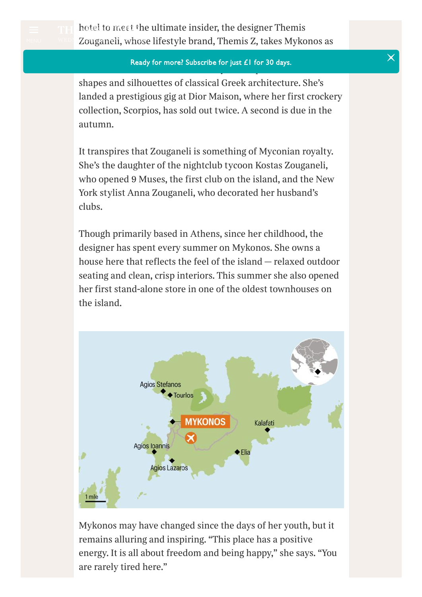

### *its creative starting point. Her cushions and crockery feature* [Ready for more? Subscribe for just £1 for 30 days.](https://globalstore.thetimes.co.uk/?ILC=INT-TNL_The_Times-Active_-Access_Global_171114) *the distinctive brown and white Myconian palette and the*

*shapes and silhouettes of classical Greek architecture. She's landed a prestigious gig at Dior Maison, where her first crockery collection, Scorpios, has sold out twice. A second is due in the autumn.*

*It transpires that Zouganeli is something of Myconian royalty. She's the daughter of the nightclub tycoon Kostas Zouganeli, who opened 9 Muses, the first club on the island, and the New York stylist Anna Zouganeli, who decorated her husband's clubs.*

*Though primarily based in Athens, since her childhood, the designer has spent every summer on Mykonos. She owns a house here that reflects the feel of the island — relaxed outdoor seating and clean, crisp interiors. This summer she also opened her first stand-alone store in one of the oldest townhouses on the island.*



*Mykonos may have changed since the days of her youth, but it remains alluring and inspiring. "This place has a positive energy. It is all about freedom and being happy," she says. "You are rarely tired here."*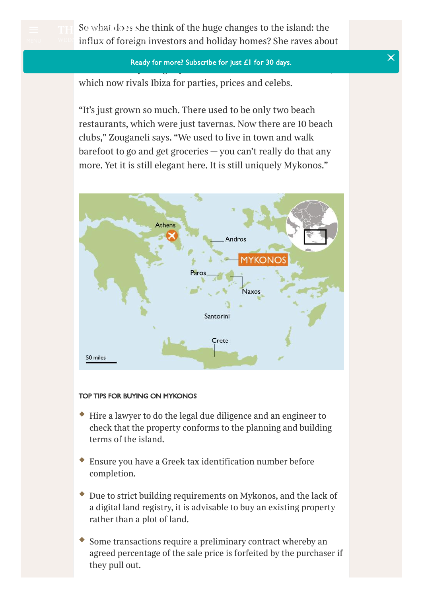

*So [what](https://www.thetimes.co.uk/) does she think of the huge changes to the island: the influx* of foreign investors and holiday homes? She raves about

### *the beach club Scorpios and the "2,000-plus" jobs it has created,* [Ready for more? Subscribe for just £1 for 30 days.](https://globalstore.thetimes.co.uk/?ILC=INT-TNL_The_Times-Active_-Access_Global_171114) *and rolls her eyes slightly at the little beach taverna Nammos,*

*which now rivals Ibiza for parties, prices and celebs.*

*"It's just grown so much. There used to be only two beach restaurants, which were just tavernas. Now there are 10 beach clubs," Zouganeli says. "We used to live in town and walk barefoot to go and get groceries — you can't really do that any more. Yet it is still elegant here. It is still uniquely Mykonos."*



#### TOP TIPS FOR BUYING ON MYKONOS

- *Hire a lawyer to do the legal due diligence and an engineer to check that the property conforms to the planning and building terms of the island.*
- *Ensure you have a Greek tax identification number before completion.*
- *Due to strict building requirements on Mykonos, and the lack of a digital land registry, it is advisable to buy an existing property rather than a plot of land.*
- *Some transactions require a preliminary contract whereby an agreed percentage of the sale price is forfeited by the purchaser if they pull out.*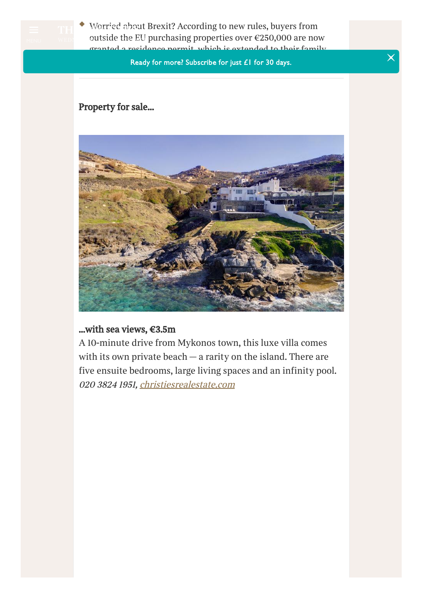

*[Worried](https://www.thetimes.co.uk/) about Brexit? According to new rules, buyers from outside the EU purchasing properties over €250,000 are now* MENU *wednesday august 29 2018granted a residence permit, which is extended to their family.*

**Ready for more? Subscribe for ju[st £1 for 30 days.](https://globalstore.thetimes.co.uk/?ILC=INT-TNL_The_Times-Active_-Access_Global_171114)** The same of  $\times$ 

# *Property for sale...*



### *...with sea views, €3.5m*

*A 10-minute drive from Mykonos town, this luxe villa comes with its own private beach — a rarity on the island. There are five ensuite bedrooms, large living spaces and an infinity pool. 020 3824 1951, [christiesrealestate.com](https://www.christiesrealestate.com/eng/sales/detail/170-l-673-1801090610598193/beachfront-luxury-in-mykonos-greece-mykonos-cy-84600)*